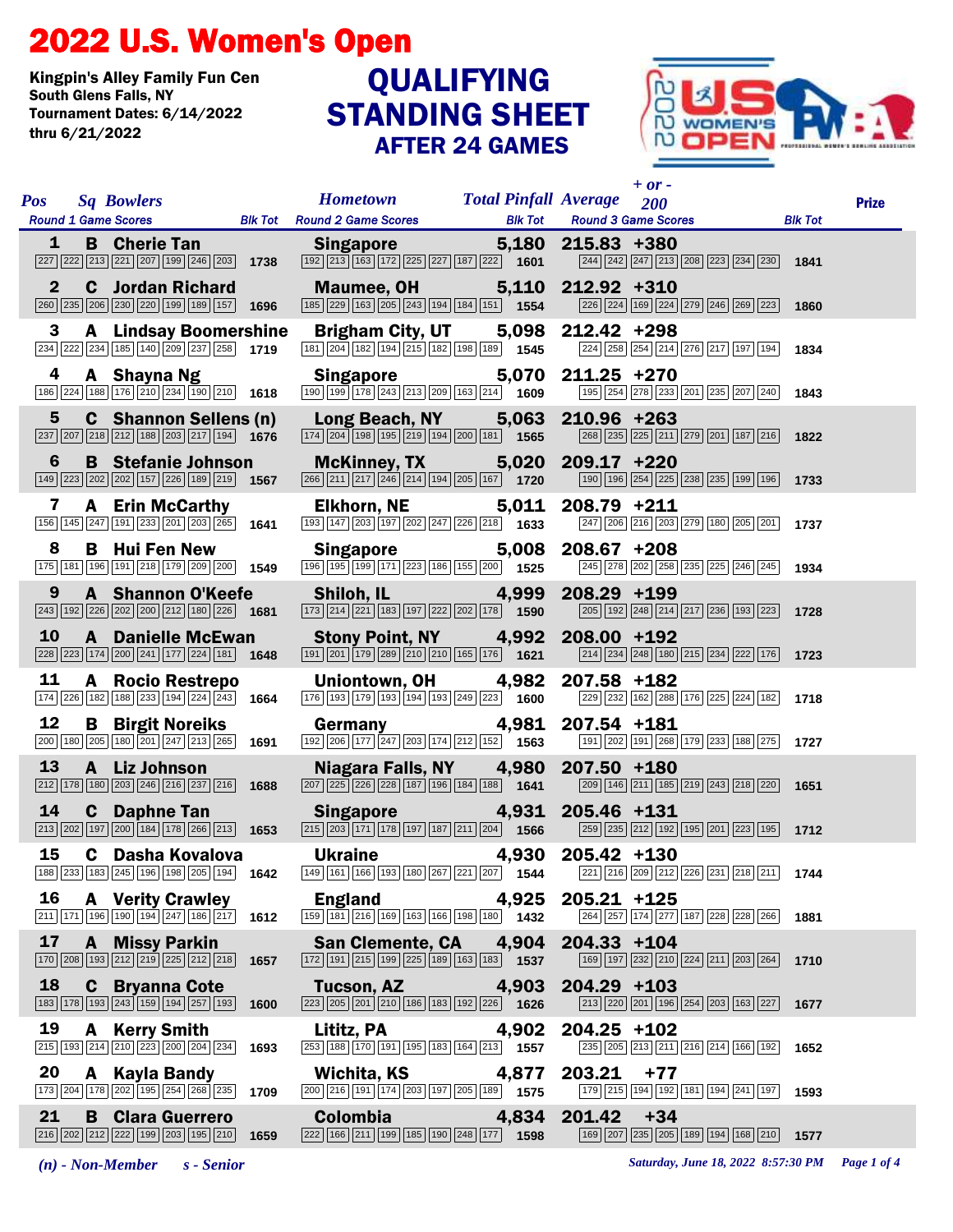## 2022 U.S. Women's Open

Kingpin's Alley Family Fun Cen Tournament Dates: 6/14/2022 thru 6/21/2022

## STANDING SHEET AFTER 24 GAMES QUALIFYING



| <b>Pos</b> | <b>Sq Bowlers</b><br><b>Round 1 Game Scores</b>                                                                                                          |      | <b>Hometown</b><br><b>Blk Tot</b> Round 2 Game Scores                                                                                                                      | <b>Total Pinfall Average</b><br><b>Blk Tot</b> | $+$ or -<br>200<br><b>Round 3 Game Scores</b>                                                                                                 | <b>Blk Tot</b> | <b>Prize</b> |
|------------|----------------------------------------------------------------------------------------------------------------------------------------------------------|------|----------------------------------------------------------------------------------------------------------------------------------------------------------------------------|------------------------------------------------|-----------------------------------------------------------------------------------------------------------------------------------------------|----------------|--------------|
| 1          | <b>B</b> Cherie Tan<br>227 222 213 221 207 199 246 203                                                                                                   | 1738 | <b>Singapore Singapore</b><br>$\boxed{192}\boxed{213}\boxed{163}\boxed{172}\boxed{225}\boxed{227}\boxed{187}\boxed{222}\$ 1601                                             | 5,180                                          | $215.83 + 380$<br>$\boxed{244}$ $\boxed{242}$ $\boxed{247}$ $\boxed{213}$ $\boxed{208}$ $\boxed{223}$ $\boxed{234}$ $\boxed{230}$ <b>1841</b> |                |              |
| 2          | Jordan Richard<br>C<br>260 235 206 230 220 199 189 157                                                                                                   | 1696 | <b>Maumee, OH</b><br>$\boxed{185}\boxed{229}\boxed{163}\boxed{205}\boxed{243}\boxed{194}\boxed{184}\boxed{151}$ 1554                                                       | 5,110                                          | 212.92 +310<br>226 224 169 224 279 246 269 223                                                                                                | 1860           |              |
| 3          | <b>A</b> Lindsay Boomershine<br>$\boxed{234}$ $\boxed{222}$ $\boxed{234}$ $\boxed{185}$ $\boxed{140}$ $\boxed{209}$ $\boxed{237}$ $\boxed{258}$ 1719     |      | <b>Brigham City, UT</b><br>$\boxed{181}\boxed{204}\boxed{182}\boxed{194}\boxed{215}\boxed{182}\boxed{198}\boxed{189}$ 1545                                                 |                                                | 5,098 212.42 +298<br>224 258 254 214 276 217 197 194                                                                                          | 1834           |              |
|            | <b>4 A Shayna Ng<br/>186 224 188 176 210 234 190 210</b> 1618                                                                                            |      | <b>Singapore</b> 5,070<br>$\frac{5,070}{\frac{1}{100}\left \frac{1}{108}\right \frac{1}{108}\left \frac{243}{213}\right \frac{209}{209}\left \frac{163}{214}\right }$ 1609 |                                                | 5,070 211.25 +270<br>[195] 254 278 233 201 235 207 240 1843                                                                                   |                |              |
| 5          | <b>C</b> Shannon Sellens (n)<br>$\boxed{237}\boxed{207}\boxed{218}\boxed{212}\boxed{188}\boxed{203}\boxed{217}\boxed{194}$ 1676                          |      | Long Beach, NY<br>$\boxed{174}$ $\boxed{204}$ $\boxed{198}$ $\boxed{195}$ $\boxed{219}$ $\boxed{194}$ $\boxed{200}$ $\boxed{181}$ <b>1565</b>                              | 5,063                                          | 210.96 +263<br>268 235 225 211 279 201 187 216                                                                                                | 1822           |              |
| 6          | <b>B</b> Stefanie Johnson<br>$\boxed{149}$ $\boxed{223}$ $\boxed{202}$ $\boxed{202}$ $\boxed{157}$ $\boxed{226}$ $\boxed{189}$ $\boxed{219}$ <b>1567</b> |      | <b>McKinney, TX</b><br>$\boxed{266}\boxed{211}\boxed{217}\boxed{246}\boxed{214}\boxed{194}\boxed{205}\boxed{167}$ 1720                                                     | 5,020                                          | $209.17 + 220$<br>$\boxed{190}$ $\boxed{196}$ $\boxed{254}$ $\boxed{225}$ $\boxed{238}$ $\boxed{235}$ $\boxed{199}$ $\boxed{196}$ <b>1733</b> |                |              |
| 7          | <b>A</b> Erin McCarthy<br>156 145 247 191 233 201 203 265 1641                                                                                           |      | <b>Elkhorn, NE</b><br>$\boxed{193}\boxed{147}\boxed{203}\boxed{197}\boxed{202}\boxed{247}\boxed{226}\boxed{218}$ 1633                                                      |                                                | 5,011 208.79 +211<br>$\boxed{247}$ $\boxed{206}$ $\boxed{216}$ $\boxed{203}$ $\boxed{279}$ $\boxed{180}$ $\boxed{205}$ $\boxed{201}$ 1737     |                |              |
| 8          | <b>Hui Fen New</b><br>В<br>175 181 196 191 218 179 209 200 1549                                                                                          |      | <b>Singapore</b><br>$\boxed{196}$ $\boxed{195}$ $\boxed{199}$ $\boxed{171}$ $\boxed{223}$ $\boxed{186}$ $\boxed{155}$ $\boxed{200}$ 1525                                   | 5,008                                          | $208.67 + 208$<br>245 278 202 258 235 225 246 245                                                                                             | 1934           |              |
| 9          | <b>A</b> Shannon O'Keefe<br>$\boxed{243}$ 192 226 202 200 212 180 226 1681                                                                               |      | Shiloh, IL<br>$\boxed{173}\boxed{214}\boxed{221}\boxed{183}\boxed{197}\boxed{222}\boxed{202}\boxed{178}$ 1590                                                              | 4,999                                          | 208.29 +199<br>205   192   248   214   217   236   193   223                                                                                  | 1728           |              |
| 10         | <b>Danielle McEwan</b><br>$\mathbf{A}$<br>$\boxed{228}\boxed{223}\boxed{174}\boxed{200}\boxed{241}\boxed{177}\boxed{224}\boxed{181}$ 1648                |      | <b>Stony Point, NY</b><br>191 201 179 289 210 210 165 176 1621                                                                                                             | 4,992                                          | $208.00 + 192$<br>$\boxed{214}\boxed{234}\boxed{248}\boxed{180}\boxed{215}\boxed{234}\boxed{222}\boxed{176}$ 1723                             |                |              |
| 11         | A Rocio Restrepo<br>174 226 182 188 233 194 224 243 1664                                                                                                 |      | Uniontown, OH<br>$\boxed{176}$ $\boxed{193}$ $\boxed{179}$ $\boxed{193}$ $\boxed{194}$ $\boxed{193}$ $\boxed{249}$ $\boxed{223}$ <b>1600</b>                               | 4,982                                          | 207.58 +182<br>229 232 162 288 176 225 224 182                                                                                                | 1718           |              |
| 12         | <b>B</b> Birgit Noreiks<br>200 180 205 180 201 247 213 265                                                                                               | 1691 | Germany<br>$\boxed{192}\boxed{206}\boxed{177}\boxed{247}\boxed{203}\boxed{174}\boxed{212}\boxed{152}$ 1563                                                                 | 4,981                                          | 207.54 +181<br>191 202 191 268 179 233 188 275 1727                                                                                           |                |              |
| 13         | A Liz Johnson<br>$\boxed{212}$ 178 180 203 246 216 237 216 1688                                                                                          |      | Niagara Falls, NY<br>$\boxed{207}$ $\boxed{225}$ $\boxed{226}$ $\boxed{228}$ $\boxed{187}$ $\boxed{196}$ $\boxed{184}$ $\boxed{188}$ $\boxed{1641}$                        | 4,980                                          | $207.50 + 180$<br>$\boxed{209}$ $\boxed{146}$ $\boxed{211}$ $\boxed{185}$ $\boxed{219}$ $\boxed{243}$ $\boxed{218}$ $\boxed{220}$ <b>1651</b> |                |              |
| 14         | $\mathbf c$<br><b>Daphne Tan</b><br>$\boxed{213}$ $\boxed{202}$ $\boxed{197}$ $\boxed{200}$ $\boxed{184}$ $\boxed{178}$ $\boxed{266}$ $\boxed{213}$      | 1653 | <b>Singapore</b><br>$\boxed{215}\boxed{203}\boxed{171}\boxed{178}\boxed{197}\boxed{187}\boxed{211}\boxed{204}$ 1566                                                        | 4,931                                          | 205.46 +131<br>259 235 212 192 195 201 223 195 1712                                                                                           |                |              |
| 15         | C Dasha Kovalova                                                                                                                                         |      | <b>Ukraine</b>                                                                                                                                                             | 4,930                                          | $205.42 + 130$<br>188 233 183 245 196 198 205 194 1642 149 161 166 193 180 267 221 207 1544 221 216 209 212 226 231 218 211 1744              |                |              |
| 16         | <b>A</b> Verity Crawley<br>$\boxed{211}$ $\boxed{171}$ $\boxed{196}$ $\boxed{190}$ $\boxed{194}$ $\boxed{247}$ $\boxed{186}$ $\boxed{217}$ <b>1612</b>   |      | <b>England</b><br>$\boxed{159}$ $\boxed{181}$ $\boxed{216}$ $\boxed{169}$ $\boxed{163}$ $\boxed{166}$ $\boxed{198}$ $\boxed{180}$ $\boxed{1432}$                           | 4,925                                          | $205.21 + 125$<br>264 257 174 277 187 228 228 266                                                                                             | 1881           |              |
| 17         | <b>A</b> Missy Parkin<br>$\boxed{170}$ $\boxed{208}$ $\boxed{193}$ $\boxed{212}$ $\boxed{219}$ $\boxed{225}$ $\boxed{212}$ $\boxed{218}$                 | 1657 | <b>San Clemente, CA</b><br>$\boxed{172}$ $\boxed{191}$ $\boxed{215}$ $\boxed{199}$ $\boxed{225}$ $\boxed{189}$ $\boxed{163}$ $\boxed{183}$ $\boxed{1}$ <b>1537</b>         | 4,904                                          | $204.33 + 104$<br>169 197 232 210 224 211 203 264                                                                                             | 1710           |              |
| 18         | <b>C</b> Bryanna Cote<br>183 178 193 243 159 194 257 193                                                                                                 | 1600 | <b>Tucson, AZ</b><br>$\boxed{223}\boxed{205}\boxed{201}\boxed{210}\boxed{186}\boxed{183}\boxed{192}\boxed{226}$ 1626                                                       | 4,903                                          | $204.29 + 103$<br>213 220 201 196 254 203 163 227                                                                                             | 1677           |              |
| 19         | A Kerry Smith<br>215 193 214 210 223 200 204 234                                                                                                         | 1693 | Lititz, PA<br>$\overline{253}$ 188 $\overline{170}$ 191 195 183 164 213 1557                                                                                               | 4,902                                          | $204.25 + 102$<br>235 205 213 211 216 214 166 192                                                                                             | 1652           |              |
| 20         | <b>20 A Kayla Bandy</b><br>173 204 178 202 195 254 268 235                                                                                               | 1709 | Wichita, KS<br>200 216 191 174 203 197 205 189 1575                                                                                                                        | 4,877                                          | 203.21<br>$+77$<br>179 215 194 192 181 194 241 197                                                                                            | 1593           |              |
| 21         | <b>B</b> Clara Guerrero<br>216 202 212 222 199 203 195 210                                                                                               | 1659 | <b>Colombia</b><br>222 166 211 199 185 190 248 177 1598                                                                                                                    | 4,834                                          | 201.42<br>$+34$<br>169 207 235 205 189 194 168 210                                                                                            | 1577           |              |

*(n) - Non-Member s - Senior Saturday, June 18, 2022 8:57:30 PM Page 1 of 4*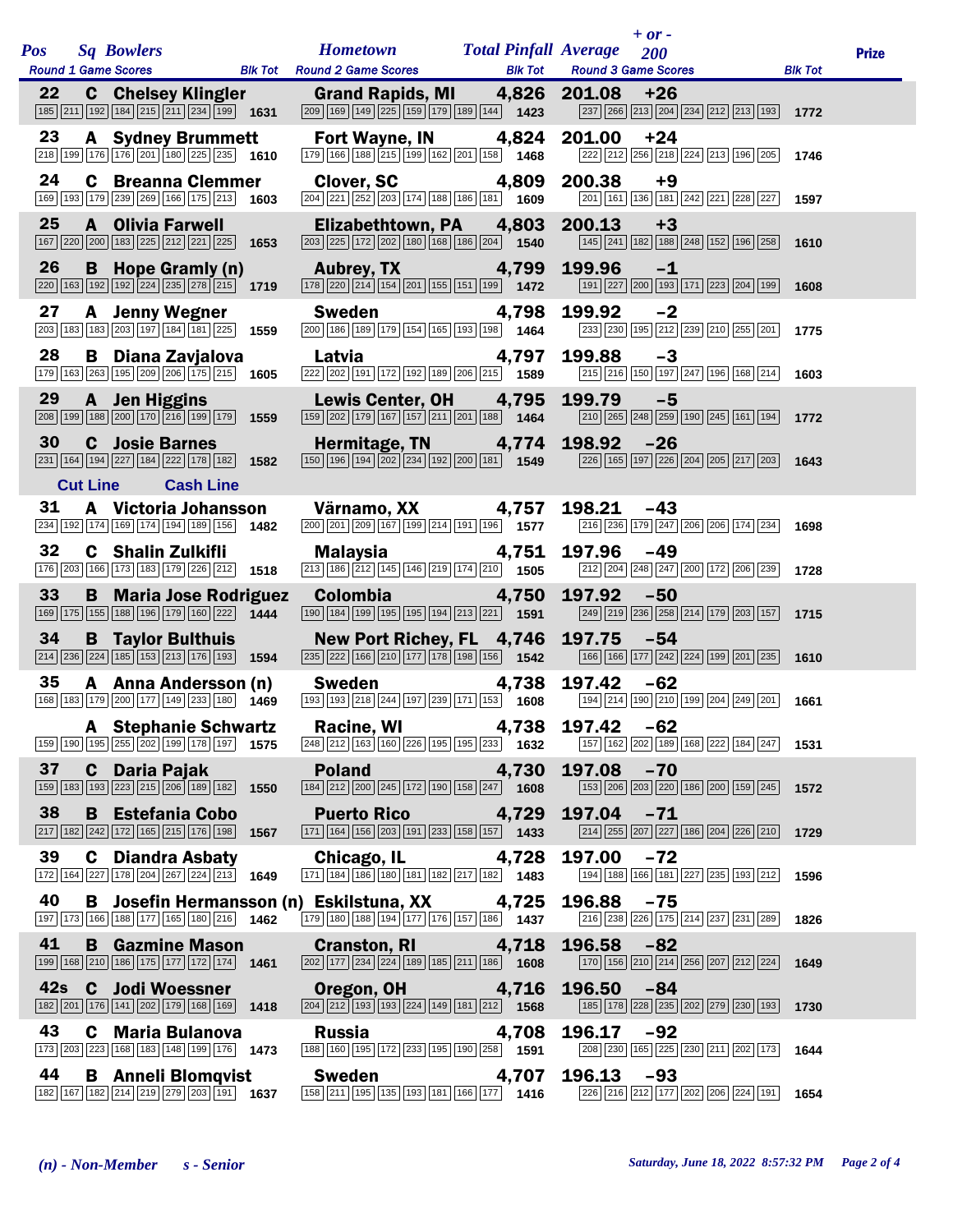| <b>Pos</b> |                 | <b>Sq Bowlers</b><br><b>Round 1 Game Scores</b> |                                                                                                                                        | <b>Blk Tot</b> | <b>Hometown</b><br><b>Round 2 Game Scores</b>                                                                                                | <b>Total Pinfall Average</b><br><b>Blk Tot</b> | $+$ or $-$<br>200<br><b>Round 3 Game Scores</b>                                                                                   | <b>Blk Tot</b> | <b>Prize</b> |
|------------|-----------------|-------------------------------------------------|----------------------------------------------------------------------------------------------------------------------------------------|----------------|----------------------------------------------------------------------------------------------------------------------------------------------|------------------------------------------------|-----------------------------------------------------------------------------------------------------------------------------------|----------------|--------------|
| 22         |                 |                                                 | <b>C</b> Chelsey Klingler<br>185 211 192 184 215 211 234 199 1631                                                                      |                | <b>Grand Rapids, MI</b><br>209 169 149 225 159 179 189 144 1423                                                                              | 4,826                                          | 201.08<br>$+26$<br>237 266 213 204 234 212 213 193                                                                                | 1772           |              |
| 23         |                 |                                                 | <b>A</b> Sydney Brummett<br>$\boxed{218}$ 199 176 176 201 180 225 235 1610                                                             |                | Fort Wayne, IN<br>179 166 188 215 199 162 201 158 1468                                                                                       | 4,824                                          | 201.00<br>$+24$<br>222 212 256 218 224 213 196 205                                                                                | 1746           |              |
| 24         |                 | C                                               | <b>Breanna Clemmer</b><br>169 193 179 239 269 166 175 213                                                                              | 1603           | <b>Clover, SC</b><br>204 221 252 203 174 188 186 181 1609                                                                                    | 4,809                                          | 200.38<br>$+9$<br>201 161 136 181 242 221 228 227                                                                                 | 1597           |              |
| 25         |                 | A                                               | <b>Olivia Farwell</b><br>167 220 200 183 225 212 221 225 1653                                                                          |                | Elizabethtown, PA<br>203 225 172 202 180 188 186 204 1540                                                                                    | 4,803                                          | 200.13<br>$+3$<br>145 241 182 188 248 152 196 258                                                                                 | 1610           |              |
| 26         |                 | B                                               | Hope Gramly (n)<br>$\boxed{220}\boxed{163}\boxed{192}\boxed{192}\boxed{224}\boxed{235}\boxed{278}\boxed{215}$ 1719                     |                | <b>Aubrey, TX</b><br>178 220 214 154 201 155 151 199 1472                                                                                    | 4,799                                          | 199.96<br>$-1$<br>191   227   200   193   171   223   204   199                                                                   | 1608           |              |
| 27         |                 | A                                               | <b>Jenny Wegner</b><br>$\boxed{203}$ $\boxed{183}$ $\boxed{183}$ $\boxed{203}$ $\boxed{197}$ $\boxed{184}$ $\boxed{181}$ $\boxed{225}$ | 1559           | <b>Sweden</b><br>200 186 189 179 154 165 193 198 1464                                                                                        | 4,798                                          | 199.92<br>$-2$<br>233 230 195 212 239 210 255 201                                                                                 | 1775           |              |
| 28         |                 | В                                               | Diana Zavjalova<br>179 163 263 195 209 206 175 215 1605                                                                                |                | Latvia<br>222 202 191 172 192 189 206 215 1589                                                                                               | 4,797                                          | 199.88<br>$-3$<br>215 216 150 197 247 196 168 214                                                                                 | 1603           |              |
| 29         | 208 199         | $\mathbf{A}$                                    | <b>Jen Higgins</b><br>188 200 170 216 199 179                                                                                          | 1559           | <b>Lewis Center, OH</b><br>159 202 179 167 157 211 201 188 1464                                                                              | 4,795                                          | 199.79<br>$-5$<br>$\boxed{210}$ $\boxed{265}$ $\boxed{248}$ $\boxed{259}$ $\boxed{190}$ $\boxed{245}$ $\boxed{161}$ $\boxed{194}$ | 1772           |              |
| 30         |                 | C.                                              | <b>Josie Barnes</b><br>231 164 194 227 184 222 178 182                                                                                 | 1582           | Hermitage, TN<br>150 196 194 202 234 192 200 181 1549                                                                                        | 4,774                                          | 198.92<br>$-26$<br>226 165 197 226 204 205 217 203                                                                                | 1643           |              |
| 31         | <b>Cut Line</b> | A                                               | <b>Cash Line</b><br>Victoria Johansson                                                                                                 |                | Värnamo, XX                                                                                                                                  | 4,757                                          | $-43$<br>198.21                                                                                                                   |                |              |
|            |                 |                                                 | 234 192 174 169 174 194 189 156                                                                                                        | 1482           | 200 201 209 167 199 214 191 196 1577                                                                                                         |                                                | 216 236 179 247 206 206 174 234                                                                                                   | 1698           |              |
| 32         |                 |                                                 | <b>C</b> Shalin Zulkifli<br>176 203 166 173 183 179 226 212                                                                            | 1518           | <b>Malaysia</b><br>$\boxed{213}$ 186 $\boxed{212}$ 145 146 219 174 210 1505                                                                  | 4,751                                          | 197.96<br>$-49$<br>212 204 248 247 200 172 206 239                                                                                | 1728           |              |
| 33         |                 | B                                               | <b>Maria Jose Rodriguez</b><br>169 175 155 188 196 179 160 222 1444                                                                    |                | <b>Colombia</b><br>190 184 199 195 195 194 213 221 1591                                                                                      | 4,750                                          | 197.92<br>$-50$<br>249 219 236 258 214 179 203 157                                                                                | 1715           |              |
| 34         |                 |                                                 | <b>B</b> Taylor Bulthuis<br>214 236 224 185 153 213 176 193                                                                            | 1594           | New Port Richey, FL 4,746<br>235 222 166 210 177 178 198 156 1542                                                                            |                                                | 197.75<br>$-54$<br>166 166 177 242 224 199 201 235                                                                                | 1610           |              |
| 35         |                 |                                                 | A Anna Andersson (n)<br>168 183 179 200 177 149 233 180 1469                                                                           |                | <b>Sweden</b><br>$\boxed{193}$ $\boxed{193}$ $\boxed{218}$ $\boxed{244}$ $\boxed{197}$ $\boxed{239}$ $\boxed{171}$ $\boxed{153}$ <b>1608</b> | 4,738                                          | 197.42<br>$-62$<br>194 214 190 210 199 204 249 201                                                                                | 1661           |              |
|            |                 |                                                 | <b>A</b> Stephanie Schwartz<br>159 190 195 255 202 199 178 197 1575                                                                    |                | <b>Racine, WI</b><br>$\overline{248}\overline{212}\overline{163}\overline{160}\overline{226}\overline{195}\overline{195}\overline{233}$ 1632 | 4,738                                          | 197.42<br>-62<br>157 162 202 189 168 222 184 247                                                                                  | 1531           |              |
| 37         |                 | C .                                             | <b>Daria Pajak</b><br>159   183   193   223   215   206   189   182                                                                    | 1550           | <b>Poland</b><br>184 212 200 245 172 190 158 247 1608                                                                                        | 4,730                                          | 197.08<br>$-70$<br>[153] 206 203 220 186 200 159 245                                                                              | 1572           |              |
| 38         |                 |                                                 | <b>B</b> Estefania Cobo<br>$\boxed{217}$ 182 242 172 165 215 176 198                                                                   | 1567           | <b>Puerto Rico</b><br>171 164 156 203 191 233 158 157 1433                                                                                   | 4,729                                          | 197.04<br>$-71$<br>214 255 207 227 186 204 226 210                                                                                | 1729           |              |
| 39         |                 |                                                 | <b>C</b> Diandra Asbaty<br>172 164 227 178 204 267 224 213                                                                             | 1649           | Chicago, IL 4,728<br>171 184 186 180 181 182 217 182 183                                                                                     |                                                | 197.00<br>-72<br>194 188 166 181 227 235 193 212                                                                                  | 1596           |              |
| 40         |                 | в.                                              | 197 173 166 188 177 165 180 216 1462                                                                                                   |                | Josefin Hermansson (n) Eskilstuna, XX<br>179 180 188 194 177 176 157 186 1437                                                                | 4,725                                          | 196.88<br>$-75$<br>216 238 226 175 214 237 231 289                                                                                | 1826           |              |
| 41         |                 |                                                 | <b>B</b> Gazmine Mason<br>199 168 210 186 175 177 172 174 1461                                                                         |                | <b>Cranston, RI</b><br>$\boxed{202}$ 177 234 224 189 185 211 186 1608                                                                        | 4,718                                          | 196.58<br>$-82$<br>170 156 210 214 256 207 212 224                                                                                | 1649           |              |
| 42s        |                 |                                                 | <b>C</b> Jodi Woessner<br>182 201 176 141 202 179 168 169 1418                                                                         |                | <b>Oregon, OH</b><br>$\boxed{204}\boxed{212}\boxed{193}\boxed{193}\boxed{224}\boxed{149}\boxed{181}\boxed{212}\$ 1568                        | 4,716                                          | 196.50<br>$-84$<br>185 178 228 235 202 279 230 193                                                                                | 1730           |              |
| 43         |                 |                                                 | <b>C</b> Maria Bulanova<br>173 203 223 168 183 148 199 176 1473                                                                        |                | <b>Russia</b><br>188 160 195 172 233 195 190 258 1591                                                                                        | 4,708                                          | 196.17<br>$-92$<br>208 230 165 225 230 211 202 173                                                                                | 1644           |              |
| 44         |                 |                                                 | <b>B</b> Anneli Blomqvist<br>182 167 182 214 219 279 203 191 1637                                                                      |                | <b>Sweden</b><br>$\boxed{158}\boxed{211}\boxed{195}\boxed{135}\boxed{193}\boxed{181}\boxed{166}\boxed{177}$ 1416                             | 4,707                                          | 196.13<br>$-93$<br>226 216 212 177 202 206 224 191                                                                                | 1654           |              |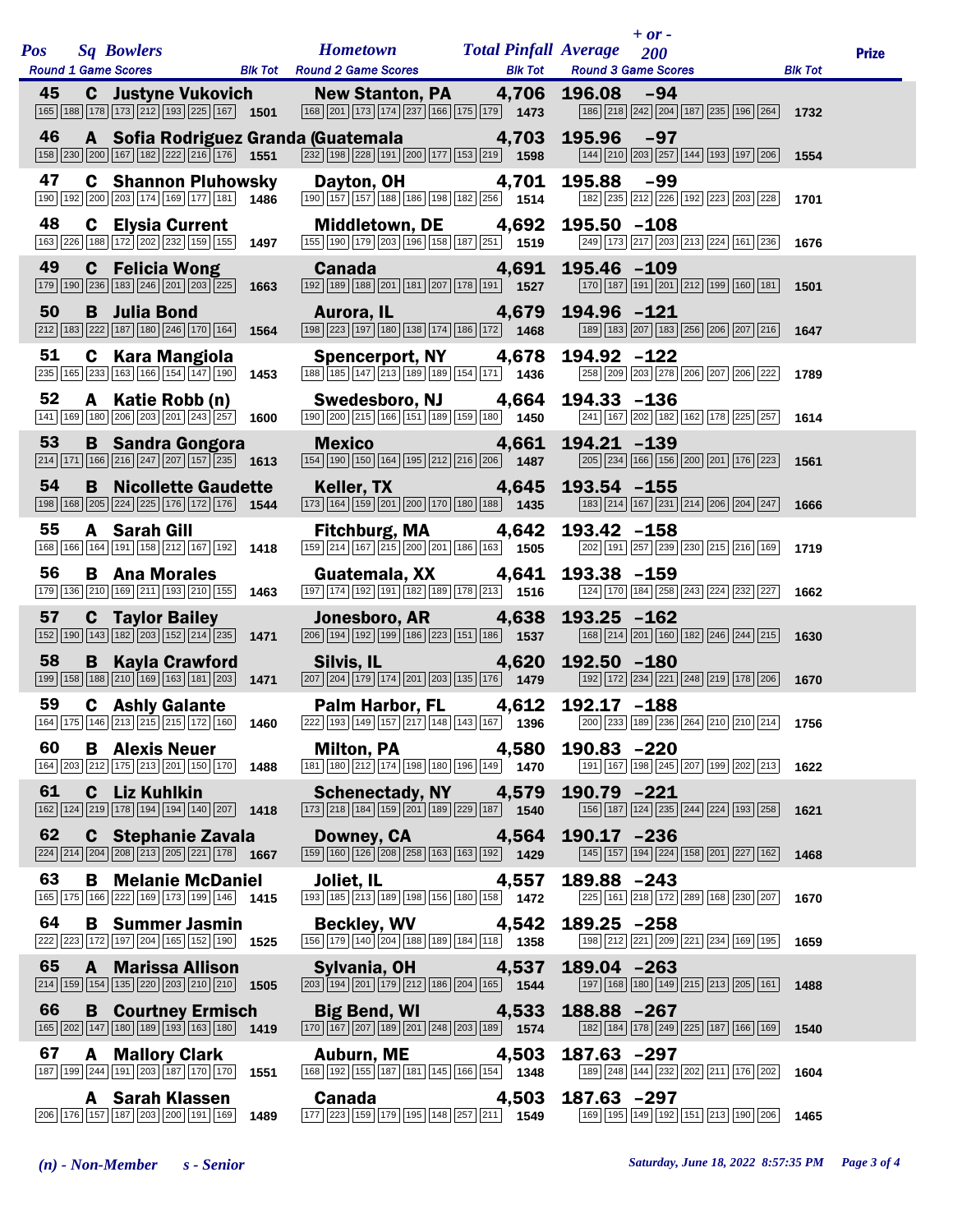| <b>Pos</b> |              | <b>Sq Bowlers</b>                                                                                                                                      |      | <b>Hometown Total Pinfall Average</b>                                                                                                                                                                                                                                             |                | $+$ or $-$<br>200                                                                                                                                                                                                                                                         |                | <b>Prize</b> |
|------------|--------------|--------------------------------------------------------------------------------------------------------------------------------------------------------|------|-----------------------------------------------------------------------------------------------------------------------------------------------------------------------------------------------------------------------------------------------------------------------------------|----------------|---------------------------------------------------------------------------------------------------------------------------------------------------------------------------------------------------------------------------------------------------------------------------|----------------|--------------|
|            |              | <b>Round 1 Game Scores</b>                                                                                                                             |      | <b>Example 18 Blk Tot Round 2 Game Scores</b>                                                                                                                                                                                                                                     | <b>Blk Tot</b> | <b>Round 3 Game Scores</b>                                                                                                                                                                                                                                                | <b>Blk Tot</b> |              |
| 45         |              | <b>C</b> Justyne Vukovich                                                                                                                              |      | <b>New Stanton, PA</b><br>$\boxed{165}$ $\boxed{188}$ $\boxed{178}$ $\boxed{173}$ $\boxed{212}$ $\boxed{193}$ $\boxed{225}$ $\boxed{167}$ <b>1501</b> $\boxed{168}$ $\boxed{201}$ $\boxed{173}$ $\boxed{174}$ $\boxed{237}$ $\boxed{166}$ $\boxed{175}$ $\boxed{179}$ <b>1473</b> |                | 4,706 196.08 -94<br>186 218 242 204 187 235 196 264 1732                                                                                                                                                                                                                  |                |              |
| 46         |              | 158 230 200 167 182 222 216 176 1551                                                                                                                   |      | A Sofia Rodriguez Granda (Guatemala                                                                                                                                                                                                                                               | 4,703          | 195.96 -97<br>$\boxed{144}$ $\boxed{210}$ $\boxed{203}$ $\boxed{257}$ $\boxed{144}$ $\boxed{193}$ $\boxed{197}$ $\boxed{206}$ <b>1554</b>                                                                                                                                 |                |              |
| 47         |              | <b>C</b> Shannon Pluhowsky<br>190 192 200 203 174 169 177 181 1486                                                                                     |      | Dayton, OH 4,701<br>$\boxed{190}$ $\boxed{157}$ $\boxed{157}$ $\boxed{188}$ $\boxed{186}$ $\boxed{198}$ $\boxed{182}$ $\boxed{256}$ 1514                                                                                                                                          |                | 195.88<br>$-99$<br>182 235 212 226 192 223 203 228                                                                                                                                                                                                                        | 1701           |              |
| 48         |              | <b>C</b> Elysia Current<br>163 226 188 172 202 232 159 155 1497                                                                                        |      | Middletown, DE 4,692<br>$\boxed{155}$ $\boxed{190}$ $\boxed{179}$ $\boxed{203}$ $\boxed{196}$ $\boxed{158}$ $\boxed{187}$ $\boxed{251}$ $\boxed{1519}$                                                                                                                            |                | $195.50 - 108$<br>249 173 217 203 213 224 161 236 1676                                                                                                                                                                                                                    |                |              |
| 49         |              | <b>C</b> Felicia Wong<br>$\boxed{179}$ $\boxed{190}$ $\boxed{236}$ $\boxed{183}$ $\boxed{246}$ $\boxed{201}$ $\boxed{203}$ $\boxed{225}$ <b>1663</b>   |      | <b>Canada</b><br>192 189 188 201 181 207 178 191 1527                                                                                                                                                                                                                             | 4,691          | 195.46 -109<br>170 187 191 201 212 199 160 181                                                                                                                                                                                                                            | 1501           |              |
| 50         |              | <b>B</b> Julia Bond<br>$\boxed{212}$ 183 $\boxed{222}$ 187 180 246 170 164 1564                                                                        |      | Aurora, IL 4,679<br>198 223 197 180 138 174 186 172 1468                                                                                                                                                                                                                          |                | 194.96 -121<br>189 183 207 183 256 206 207 216                                                                                                                                                                                                                            | 1647           |              |
| 51         |              | <b>C</b> Kara Mangiola<br>$\overline{235}$ 165 233 163 166 154 147 190 1453                                                                            |      | <b>Spencerport, NY</b><br>188 185 147 213 189 189 154 171 1436                                                                                                                                                                                                                    | 4,678          | 194.92 -122<br>258 209 203 278 206 207 206 222                                                                                                                                                                                                                            | 1789           |              |
| 52         |              | A Katie Robb (n)<br>$\boxed{141}$ $\boxed{169}$ $\boxed{180}$ $\boxed{206}$ $\boxed{203}$ $\boxed{201}$ $\boxed{243}$ $\boxed{257}$ <b>1600</b>        |      | Swedesboro, NJ 4,664<br>$\boxed{190}$ $\boxed{200}$ $\boxed{215}$ $\boxed{166}$ $\boxed{151}$ $\boxed{189}$ $\boxed{159}$ $\boxed{180}$ $\boxed{180}$                                                                                                                             |                | 194.33 -136<br>241 167 202 182 162 178 225 257                                                                                                                                                                                                                            | 1614           |              |
| 53         |              | <b>B</b> Sandra Gongora<br>$\boxed{214}$ 171 166 216 247 207 157 235 1613                                                                              |      | <b>Mexico Mexico</b><br>$\boxed{154}$ $\boxed{190}$ $\boxed{150}$ $\boxed{164}$ $\boxed{195}$ $\boxed{212}$ $\boxed{216}$ $\boxed{206}$ <b>1487</b>                                                                                                                               | 4,661          | 194.21 -139<br>$\boxed{205}$ $\boxed{234}$ $\boxed{166}$ $\boxed{156}$ $\boxed{200}$ $\boxed{201}$ $\boxed{176}$ $\boxed{223}$                                                                                                                                            | 1561           |              |
| 54         |              | <b>B</b> Nicollette Gaudette<br>198 168 205 224 225 176 172 176 1544                                                                                   |      | <b>Keller, TX</b> Andrew March 2004<br>173 164 159 201 200 170 180 188 1435                                                                                                                                                                                                       | 4,645          | $193.54 - 155$<br>[183] 214 167 231 214 206 204 247                                                                                                                                                                                                                       | 1666           |              |
| 55         |              | A Sarah Gill<br>168 166 164 191 158 212 167 192 1418                                                                                                   |      | Fitchburg, MA 4,642<br>159 214 167 215 200 201 186 163 1505                                                                                                                                                                                                                       |                | 193.42 -158<br>202 191 257 239 230 215 216 169                                                                                                                                                                                                                            | 1719           |              |
| 56         |              | <b>B</b> Ana Morales<br>179 136 210 169 211 193 210 155 1463                                                                                           |      | Guatemala, XX 4,641<br>197 174 192 191 182 189 178 213 1516                                                                                                                                                                                                                       |                | 193.38 -159<br>124 170 184 258 243 224 232 227                                                                                                                                                                                                                            | 1662           |              |
| 57         |              | <b>C</b> Taylor Bailey<br>$\boxed{152}$ $\boxed{190}$ $\boxed{143}$ $\boxed{182}$ $\boxed{203}$ $\boxed{152}$ $\boxed{214}$ $\boxed{235}$ <b>1471</b>  |      | Jonesboro, AR<br>$\boxed{206}$ $\boxed{194}$ $\boxed{192}$ $\boxed{199}$ $\boxed{186}$ $\boxed{223}$ $\boxed{151}$ $\boxed{186}$ $\boxed{1537}$                                                                                                                                   | 4,638          | $193.25 - 162$<br>$\boxed{168}\boxed{214}\boxed{201}\boxed{160}\boxed{182}\boxed{246}\boxed{244}\boxed{215}$                                                                                                                                                              | 1630           |              |
| 58         |              | <b>B</b> Kayla Crawford<br>$\boxed{199}$ $\boxed{158}$ $\boxed{188}$ $\boxed{210}$ $\boxed{169}$ $\boxed{163}$ $\boxed{181}$ $\boxed{203}$ <b>1471</b> |      | Silvis, IL <b>Silvis</b>                                                                                                                                                                                                                                                          | 4,620          | $192.50 - 180$<br>$\boxed{207}$ $\boxed{204}$ $\boxed{179}$ $\boxed{174}$ $\boxed{201}$ $\boxed{203}$ $\boxed{135}$ $\boxed{176}$ <b>1479</b> $\boxed{192}$ $\boxed{172}$ $\boxed{234}$ $\boxed{221}$ $\boxed{248}$ $\boxed{219}$ $\boxed{178}$ $\boxed{206}$ <b>1670</b> |                |              |
| 59         |              | <b>C</b> Ashly Galante<br>164 175 146 213 215 215 172 160 1460                                                                                         |      | Palm Harbor, FL 4,612 192.17 -188                                                                                                                                                                                                                                                 |                | $\boxed{222} \boxed{193} \boxed{149} \boxed{157} \boxed{217} \boxed{148} \boxed{143} \boxed{167} \tag{1396} \boxed{200} \boxed{233} \boxed{189} \boxed{236} \boxed{264} \boxed{210} \boxed{210} \boxed{214}$                                                              | 1756           |              |
| 60         |              | <b>B</b> Alexis Neuer<br>164 203 212 175 213 201 150 170 1488                                                                                          |      | <b>Milton, PA</b><br>$\boxed{181}$ $\boxed{180}$ $\boxed{212}$ $\boxed{174}$ $\boxed{198}$ $\boxed{180}$ $\boxed{196}$ $\boxed{149}$ $\boxed{1470}$                                                                                                                               | 4,580          | $190.83 - 220$<br>191 167 198 245 207 199 202 213                                                                                                                                                                                                                         | 1622           |              |
| 61         |              | C Liz Kuhlkin<br>162 124 219 178 194 194 140 207 1418                                                                                                  |      | Schenectady, NY 4,579<br>$\boxed{173}\boxed{218}\boxed{184}\boxed{159}\boxed{201}\boxed{189}\boxed{229}\boxed{187}$ 1540                                                                                                                                                          |                | 190.79 -221<br>156 187 124 235 244 224 193 258                                                                                                                                                                                                                            | 1621           |              |
| 62         |              | C Stephanie Zavala<br>$\boxed{224}\boxed{214}\boxed{204}\boxed{208}\boxed{213}\boxed{205}\boxed{221}\boxed{178}$ 1667                                  |      | Downey, CA<br>$\boxed{159}$ $\boxed{160}$ $\boxed{126}$ $\boxed{208}$ $\boxed{258}$ $\boxed{163}$ $\boxed{163}$ $\boxed{192}$ <b>1429</b>                                                                                                                                         | 4,564          | $190.17 - 236$<br>145 157 194 224 158 201 227 162                                                                                                                                                                                                                         | 1468           |              |
| 63         | B            | <b>Melanie McDaniel</b><br>165 175 166 222 169 173 199 146 1415                                                                                        |      | Joliet, IL<br>$\boxed{193}$ $\boxed{185}$ $\boxed{213}$ $\boxed{189}$ $\boxed{198}$ $\boxed{156}$ $\boxed{180}$ $\boxed{158}$ $\boxed{1$ <b>1472</b>                                                                                                                              | 4,557          | 189.88 -243<br>225 161 218 172 289 168 230 207                                                                                                                                                                                                                            | 1670           |              |
| 64         |              | <b>B</b> Summer Jasmin<br>222 223 172 197 204 165 152 190 1525                                                                                         |      | <b>Beckley, WV</b><br>156 179 140 204 188 189 184 188 1858                                                                                                                                                                                                                        | 4,542          | $189.25 - 258$<br>198 212 221 209 221 234 169 195                                                                                                                                                                                                                         | 1659           |              |
| 65         | $\mathbf{A}$ | <b>Marissa Allison</b><br>$\boxed{214}$ 159 154 135 220 203 210 210 1505                                                                               |      | Sylvania, OH<br>$\boxed{203}$ 194 201 179 212 186 204 165 1544                                                                                                                                                                                                                    | 4,537          | $189.04 - 263$<br>197 168 180 149 215 213 205 161                                                                                                                                                                                                                         | 1488           |              |
| 66         |              | <b>B</b> Courtney Ermisch<br>165 202 147 180 189 193 163 180                                                                                           | 1419 | <b>Big Bend, WI</b><br>$\boxed{170}$ $\boxed{167}$ $\boxed{207}$ $\boxed{189}$ $\boxed{201}$ $\boxed{248}$ $\boxed{203}$ $\boxed{189}$ 1574                                                                                                                                       | 4,533          | 188.88 -267<br>182 184 178 249 225 187 166 169                                                                                                                                                                                                                            | 1540           |              |
| 67         | A            | <b>Mallory Clark</b><br>$\boxed{187}$ $\boxed{199}$ $\boxed{244}$ $\boxed{191}$ $\boxed{203}$ $\boxed{187}$ $\boxed{170}$ $\boxed{170}$ <b>1551</b>    |      | Auburn, ME<br>168 192 155 187 181 145 166 154 1348                                                                                                                                                                                                                                | 4,503          | $187.63 - 297$<br>189 248 144 232 202 211 176 202                                                                                                                                                                                                                         | 1604           |              |
|            |              | <b>A</b> Sarah Klassen<br>$\boxed{206}$ $\boxed{176}$ $\boxed{157}$ $\boxed{187}$ $\boxed{203}$ $\boxed{200}$ $\boxed{191}$ $\boxed{169}$ 1489         |      | Canada<br>$\boxed{177}\boxed{223}\boxed{159}\boxed{179}\boxed{195}\boxed{148}\boxed{257}\boxed{211}$ 1549                                                                                                                                                                         | 4,503          | 187.63 -297<br>169 195 149 192 151 213 190 206                                                                                                                                                                                                                            | 1465           |              |